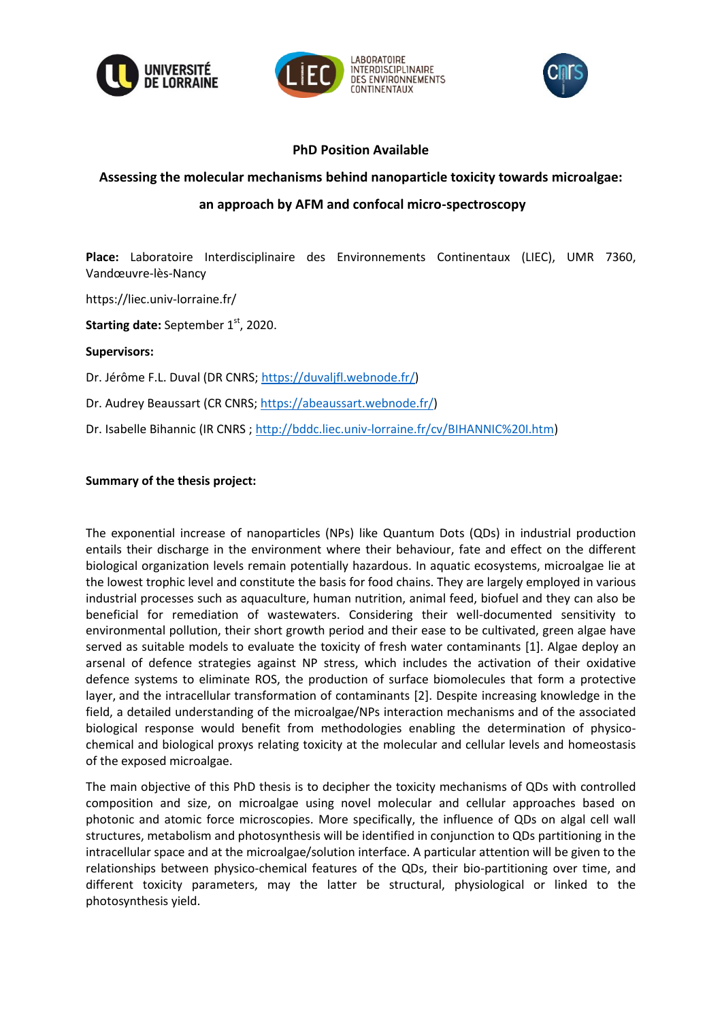





## **PhD Position Available**

# **Assessing the molecular mechanisms behind nanoparticle toxicity towards microalgae: an approach by AFM and confocal micro-spectroscopy**

**Place:** Laboratoire Interdisciplinaire des Environnements Continentaux (LIEC), UMR 7360, Vandœuvre-lès-Nancy

https://liec.univ-lorraine.fr/

**Starting date:** September 1st, 2020.

### **Supervisors:**

Dr. Jérôme F.L. Duval (DR CNRS[; https://duvaljfl.webnode.fr/\)](https://duvaljfl.webnode.fr/)

Dr. Audrey Beaussart (CR CNRS; [https://abeaussart.webnode.fr/\)](https://abeaussart.webnode.fr/)

Dr. Isabelle Bihannic (IR CNRS [; http://bddc.liec.univ-lorraine.fr/cv/BIHANNIC%20I.htm\)](http://bddc.liec.univ-lorraine.fr/cv/BIHANNIC%20I.htm)

### **Summary of the thesis project:**

The exponential increase of nanoparticles (NPs) like Quantum Dots (QDs) in industrial production entails their discharge in the environment where their behaviour, fate and effect on the different biological organization levels remain potentially hazardous. In aquatic ecosystems, microalgae lie at the lowest trophic level and constitute the basis for food chains. They are largely employed in various industrial processes such as aquaculture, human nutrition, animal feed, biofuel and they can also be beneficial for remediation of wastewaters. Considering their well-documented sensitivity to environmental pollution, their short growth period and their ease to be cultivated, green algae have served as suitable models to evaluate the toxicity of fresh water contaminants [1]. Algae deploy an arsenal of defence strategies against NP stress, which includes the activation of their oxidative defence systems to eliminate ROS, the production of surface biomolecules that form a protective layer, and the intracellular transformation of contaminants [2]. Despite increasing knowledge in the field, a detailed understanding of the microalgae/NPs interaction mechanisms and of the associated biological response would benefit from methodologies enabling the determination of physicochemical and biological proxys relating toxicity at the molecular and cellular levels and homeostasis of the exposed microalgae.

The main objective of this PhD thesis is to decipher the toxicity mechanisms of QDs with controlled composition and size, on microalgae using novel molecular and cellular approaches based on photonic and atomic force microscopies. More specifically, the influence of QDs on algal cell wall structures, metabolism and photosynthesis will be identified in conjunction to QDs partitioning in the intracellular space and at the microalgae/solution interface. A particular attention will be given to the relationships between physico-chemical features of the QDs, their bio-partitioning over time, and different toxicity parameters, may the latter be structural, physiological or linked to the photosynthesis yield.